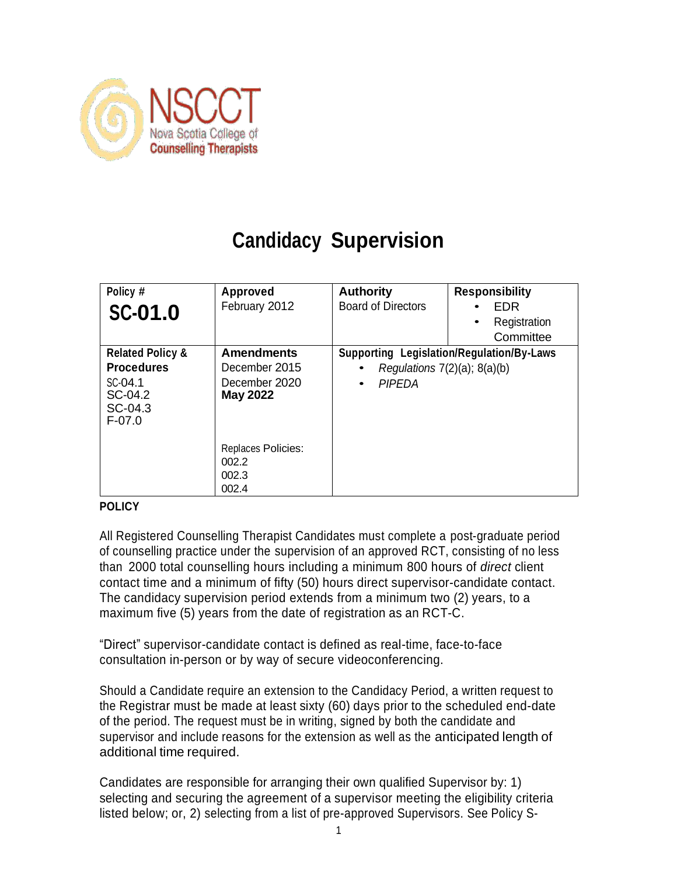

# **Candidacy Supervision**

| Policy #<br><b>SC-01.0</b>                                                                    | Approved<br>February 2012                                              | <b>Authority</b><br><b>Board of Directors</b>                                                                       | <b>Responsibility</b><br>EDR<br>Registration<br>٠<br>Committee |
|-----------------------------------------------------------------------------------------------|------------------------------------------------------------------------|---------------------------------------------------------------------------------------------------------------------|----------------------------------------------------------------|
| <b>Related Policy &amp;</b><br><b>Procedures</b><br>SC-04.1<br>SC-04.2<br>SC-04.3<br>$F-07.0$ | <b>Amendments</b><br>December 2015<br>December 2020<br><b>May 2022</b> | <b>Supporting Legislation/Regulation/By-Laws</b><br>Regulations $7(2)(a)$ ; $8(a)(b)$<br><b>PIPEDA</b><br>$\bullet$ |                                                                |
|                                                                                               | Replaces Policies:<br>002.2<br>002.3<br>002.4                          |                                                                                                                     |                                                                |

#### **POLICY**

All Registered Counselling Therapist Candidates must complete a post-graduate period of counselling practice under the supervision of an approved RCT, consisting of no less than 2000 total counselling hours including a minimum 800 hours of *direct* client contact time and a minimum of fifty (50) hours direct supervisor-candidate contact. The candidacy supervision period extends from a minimum two (2) years, to a maximum five (5) years from the date of registration as an RCT-C.

"Direct" supervisor-candidate contact is defined as real-time, face-to-face consultation in-person or by way of secure videoconferencing.

Should a Candidate require an extension to the Candidacy Period, a written request to the Registrar must be made at least sixty (60) days prior to the scheduled end-date of the period. The request must be in writing, signed by both the candidate and supervisor and include reasons for the extension as well as the anticipated length of additional time required.

Candidates are responsible for arranging their own qualified Supervisor by: 1) selecting and securing the agreement of a supervisor meeting the eligibility criteria listed below; or, 2) selecting from a list of pre-approved Supervisors. See Policy S-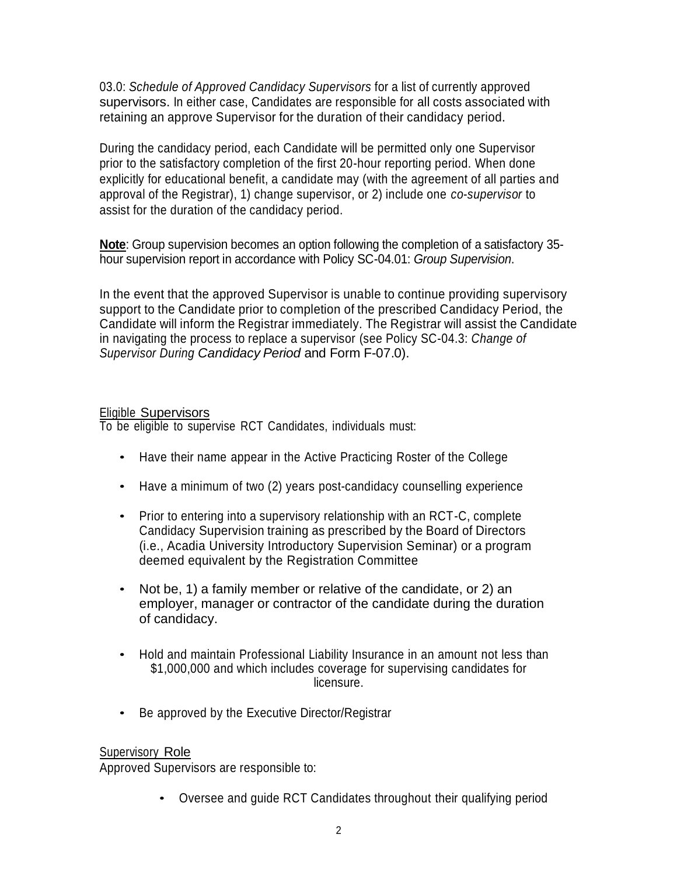03.0: *Schedule of Approved Candidacy Supervisors* for a list of currently approved supervisors. In either case, Candidates are responsible for all costs associated with retaining an approve Supervisor for the duration of their candidacy period.

During the candidacy period, each Candidate will be permitted only one Supervisor prior to the satisfactory completion of the first 20-hour reporting period. When done explicitly for educational benefit, a candidate may (with the agreement of all parties and approval of the Registrar), 1) change supervisor, or 2) include one *co-supervisor* to assist for the duration of the candidacy period.

**Note**: Group supervision becomes an option following the completion of a satisfactory 35 hour supervision report in accordance with Policy SC-04.01: *Group Supervision*.

In the event that the approved Supervisor is unable to continue providing supervisory support to the Candidate prior to completion of the prescribed Candidacy Period, the Candidate will inform the Registrar immediately. The Registrar will assist the Candidate in navigating the process to replace a supervisor (see Policy SC-04.3: *Change of Supervisor During Candidacy Period* and Form F-07.0).

### Eligible Supervisors

To be eligible to supervise RCT Candidates, individuals must:

- Have their name appear in the Active Practicing Roster of the College
- Have a minimum of two (2) years post-candidacy counselling experience
- Prior to entering into a supervisory relationship with an RCT-C, complete Candidacy Supervision training as prescribed by the Board of Directors (i.e., Acadia University Introductory Supervision Seminar) or a program deemed equivalent by the Registration Committee
- Not be, 1) a family member or relative of the candidate, or 2) an employer, manager or contractor of the candidate during the duration of candidacy.
- Hold and maintain Professional Liability Insurance in an amount not less than \$1,000,000 and which includes coverage for supervising candidates for licensure.
- Be approved by the Executive Director/Registrar

# Supervisory Role

Approved Supervisors are responsible to:

• Oversee and guide RCT Candidates throughout their qualifying period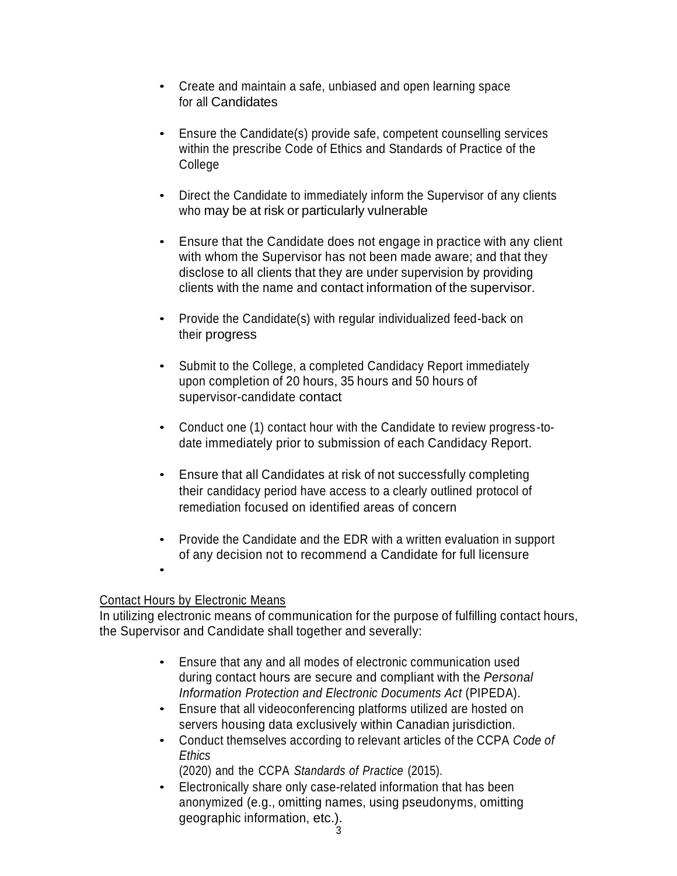- Create and maintain a safe, unbiased and open learning space for all Candidates
- Ensure the Candidate(s) provide safe, competent counselling services within the prescribe Code of Ethics and Standards of Practice of the College
- Direct the Candidate to immediately inform the Supervisor of any clients who may be at risk or particularly vulnerable
- Ensure that the Candidate does not engage in practice with any client with whom the Supervisor has not been made aware; and that they disclose to all clients that they are under supervision by providing clients with the name and contact information of the supervisor.
- Provide the Candidate(s) with regular individualized feed-back on their progress
- Submit to the College, a completed Candidacy Report immediately upon completion of 20 hours, 35 hours and 50 hours of supervisor-candidate contact
- Conduct one (1) contact hour with the Candidate to review progress-todate immediately prior to submission of each Candidacy Report.
- Ensure that all Candidates at risk of not successfully completing their candidacy period have access to a clearly outlined protocol of remediation focused on identified areas of concern
- Provide the Candidate and the EDR with a written evaluation in support of any decision not to recommend a Candidate for full licensure
- •

# Contact Hours by Electronic Means

In utilizing electronic means of communication for the purpose of fulfilling contact hours, the Supervisor and Candidate shall together and severally:

- Ensure that any and all modes of electronic communication used during contact hours are secure and compliant with the *Personal Information Protection and Electronic Documents Act* (PIPEDA).
- Ensure that all videoconferencing platforms utilized are hosted on servers housing data exclusively within Canadian jurisdiction.
- Conduct themselves according to relevant articles of the CCPA *Code of Ethics*

(2020) and the CCPA *Standards of Practice* (2015).

• Electronically share only case-related information that has been anonymized (e.g., omitting names, using pseudonyms, omitting geographic information, etc.).